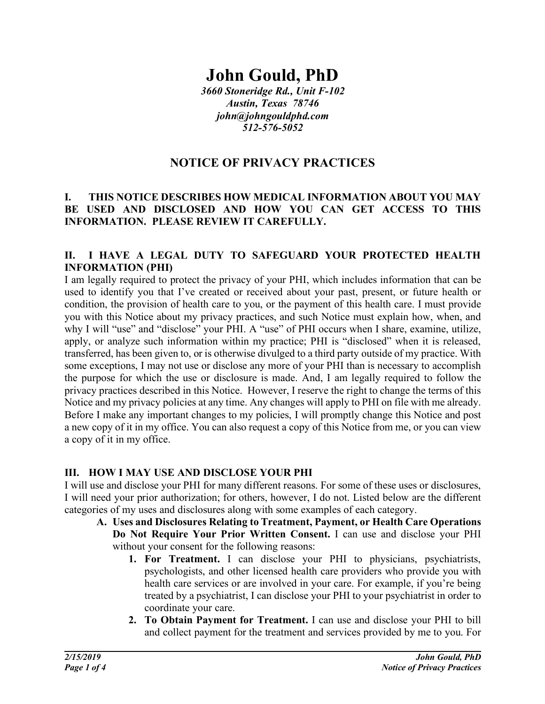# **John Gould, PhD**

*3660 Stoneridge Rd., Unit F-102 Austin, Texas 78746 john@johngouldphd.com 512-576-5052*

## **NOTICE OF PRIVACY PRACTICES**

#### **I. THIS NOTICE DESCRIBES HOW MEDICAL INFORMATION ABOUT YOU MAY BE USED AND DISCLOSED AND HOW YOU CAN GET ACCESS TO THIS INFORMATION. PLEASE REVIEW IT CAREFULLY.**

## **II. I HAVE A LEGAL DUTY TO SAFEGUARD YOUR PROTECTED HEALTH INFORMATION (PHI)**

I am legally required to protect the privacy of your PHI, which includes information that can be used to identify you that I've created or received about your past, present, or future health or condition, the provision of health care to you, or the payment of this health care. I must provide you with this Notice about my privacy practices, and such Notice must explain how, when, and why I will "use" and "disclose" your PHI. A "use" of PHI occurs when I share, examine, utilize, apply, or analyze such information within my practice; PHI is "disclosed" when it is released, transferred, has been given to, or is otherwise divulged to a third party outside of my practice. With some exceptions, I may not use or disclose any more of your PHI than is necessary to accomplish the purpose for which the use or disclosure is made. And, I am legally required to follow the privacy practices described in this Notice. However, I reserve the right to change the terms of this Notice and my privacy policies at any time. Any changes will apply to PHI on file with me already. Before I make any important changes to my policies, I will promptly change this Notice and post a new copy of it in my office. You can also request a copy of this Notice from me, or you can view a copy of it in my office.

## **III. HOW I MAY USE AND DISCLOSE YOUR PHI**

I will use and disclose your PHI for many different reasons. For some of these uses or disclosures, I will need your prior authorization; for others, however, I do not. Listed below are the different categories of my uses and disclosures along with some examples of each category.

- **A. Uses and Disclosures Relating to Treatment, Payment, or Health Care Operations Do Not Require Your Prior Written Consent.** I can use and disclose your PHI without your consent for the following reasons:
	- **1. For Treatment.** I can disclose your PHI to physicians, psychiatrists, psychologists, and other licensed health care providers who provide you with health care services or are involved in your care. For example, if you're being treated by a psychiatrist, I can disclose your PHI to your psychiatrist in order to coordinate your care.
	- **2. To Obtain Payment for Treatment.** I can use and disclose your PHI to bill and collect payment for the treatment and services provided by me to you. For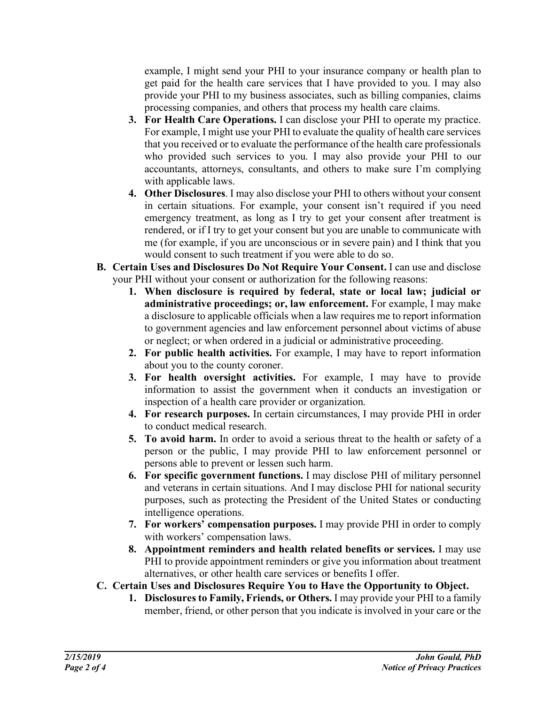example, I might send your PHI to your insurance company or health plan to get paid for the health care services that I have provided to you. I may also provide your PHI to my business associates, such as billing companies, claims processing companies, and others that process my health care claims.

- **3. For Health Care Operations.** I can disclose your PHI to operate my practice. For example, I might use your PHI to evaluate the quality of health care services that you received or to evaluate the performance of the health care professionals who provided such services to you. I may also provide your PHI to our accountants, attorneys, consultants, and others to make sure I'm complying with applicable laws.
- **4. Other Disclosures**. I may also disclose your PHI to others without your consent in certain situations. For example, your consent isn't required if you need emergency treatment, as long as I try to get your consent after treatment is rendered, or if I try to get your consent but you are unable to communicate with me (for example, if you are unconscious or in severe pain) and I think that you would consent to such treatment if you were able to do so.
- **B. Certain Uses and Disclosures Do Not Require Your Consent.** I can use and disclose your PHI without your consent or authorization for the following reasons:
	- **1. When disclosure is required by federal, state or local law; judicial or administrative proceedings; or, law enforcement.** For example, I may make a disclosure to applicable officials when a law requires me to report information to government agencies and law enforcement personnel about victims of abuse or neglect; or when ordered in a judicial or administrative proceeding.
	- **2. For public health activities.** For example, I may have to report information about you to the county coroner.
	- **3. For health oversight activities.** For example, I may have to provide information to assist the government when it conducts an investigation or inspection of a health care provider or organization.
	- **4. For research purposes.** In certain circumstances, I may provide PHI in order to conduct medical research.
	- **5. To avoid harm.** In order to avoid a serious threat to the health or safety of a person or the public, I may provide PHI to law enforcement personnel or persons able to prevent or lessen such harm.
	- **6. For specific government functions.** I may disclose PHI of military personnel and veterans in certain situations. And I may disclose PHI for national security purposes, such as protecting the President of the United States or conducting intelligence operations.
	- **7. For workers' compensation purposes.** I may provide PHI in order to comply with workers' compensation laws.
	- **8. Appointment reminders and health related benefits or services.** I may use PHI to provide appointment reminders or give you information about treatment alternatives, or other health care services or benefits I offer.
- **C. Certain Uses and Disclosures Require You to Have the Opportunity to Object.**
	- **1. Disclosures to Family, Friends, or Others.** I may provide your PHI to a family member, friend, or other person that you indicate is involved in your care or the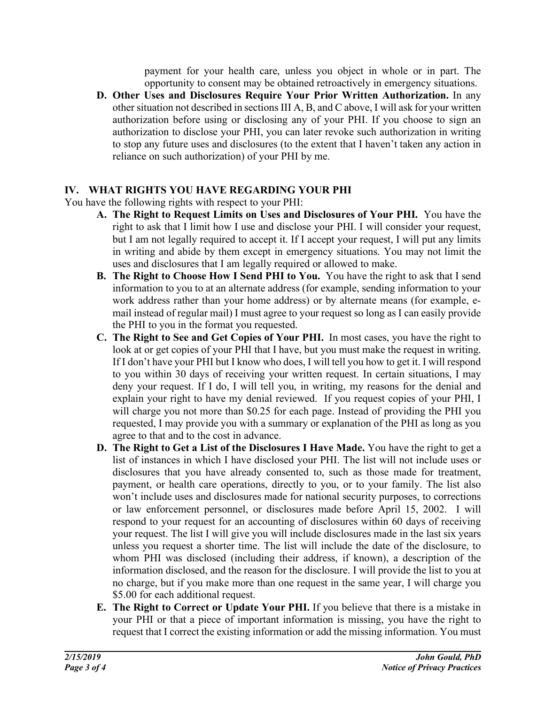payment for your health care, unless you object in whole or in part. The opportunity to consent may be obtained retroactively in emergency situations.

**D. Other Uses and Disclosures Require Your Prior Written Authorization.** In any other situation not described in sections III A, B, and C above, I will ask for your written authorization before using or disclosing any of your PHI. If you choose to sign an authorization to disclose your PHI, you can later revoke such authorization in writing to stop any future uses and disclosures (to the extent that I haven't taken any action in reliance on such authorization) of your PHI by me.

## **IV. WHAT RIGHTS YOU HAVE REGARDING YOUR PHI**

You have the following rights with respect to your PHI:

- **A. The Right to Request Limits on Uses and Disclosures of Your PHI.** You have the right to ask that I limit how I use and disclose your PHI. I will consider your request, but I am not legally required to accept it. If I accept your request, I will put any limits in writing and abide by them except in emergency situations. You may not limit the uses and disclosures that I am legally required or allowed to make.
- **B. The Right to Choose How I Send PHI to You.** You have the right to ask that I send information to you to at an alternate address (for example, sending information to your work address rather than your home address) or by alternate means (for example, email instead of regular mail) I must agree to your request so long as I can easily provide the PHI to you in the format you requested.
- **C. The Right to See and Get Copies of Your PHI.** In most cases, you have the right to look at or get copies of your PHI that I have, but you must make the request in writing. If I don't have your PHI but I know who does, I will tell you how to get it. I will respond to you within 30 days of receiving your written request. In certain situations, I may deny your request. If I do, I will tell you, in writing, my reasons for the denial and explain your right to have my denial reviewed. If you request copies of your PHI, I will charge you not more than \$0.25 for each page. Instead of providing the PHI you requested, I may provide you with a summary or explanation of the PHI as long as you agree to that and to the cost in advance.
- **D. The Right to Get a List of the Disclosures I Have Made.** You have the right to get a list of instances in which I have disclosed your PHI. The list will not include uses or disclosures that you have already consented to, such as those made for treatment, payment, or health care operations, directly to you, or to your family. The list also won't include uses and disclosures made for national security purposes, to corrections or law enforcement personnel, or disclosures made before April 15, 2002. I will respond to your request for an accounting of disclosures within 60 days of receiving your request. The list I will give you will include disclosures made in the last six years unless you request a shorter time. The list will include the date of the disclosure, to whom PHI was disclosed (including their address, if known), a description of the information disclosed, and the reason for the disclosure. I will provide the list to you at no charge, but if you make more than one request in the same year, I will charge you \$5.00 for each additional request.
- **E. The Right to Correct or Update Your PHI.** If you believe that there is a mistake in your PHI or that a piece of important information is missing, you have the right to request that I correct the existing information or add the missing information. You must